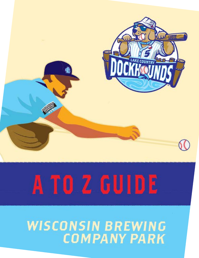

# A TO Z GUIDE

# **WISCONSIN BREWING COMPANY PARK**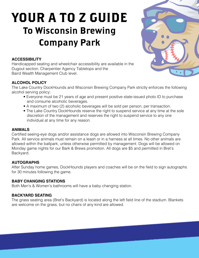# YOUR A TO Z GUIDE To Wisconsin Brewing Company Park

# **ACCESSIBILITY**

Handicapped seating and wheelchair accessibility are available in the Dugout section, Charpentier Agency Tabletops and the Baird Wealth Management Club level.

# **ALCOHOL POLICY**

The Lake Country DockHounds and Wisconsin Brewing Company Park strictly enforces the following alcohol serving policy:

- Everyone must be 21 years of age and present positive state-issued photo ID to purchase and consume alcoholic beverages.
- A maximum of two (2) alcoholic beverages will be sold per person, per transaction.
- The Lake Country DockHounds reserve the right to suspend service at any time at the sole discretion of the management and reserves the right to suspend service to any one individual at any time for any reason.

# **ANIMALS**

Certified seeing-eye dogs and/or assistance dogs are allowed into Wisconsin Brewing Company Park. All service animals must remain on a leash or in a harness at all times. No other animals are allowed within the ballpark, unless otherwise permitted by management. Dogs will be allowed on Monday game nights for our Bark & Brews promotion. All dogs are \$5 and permitted in Bret's Backyard.

#### **AUTOGRAPHS**

After Sunday home games, DockHounds players and coaches will be on the field to sign autographs for 30 minutes following the game.

#### **BABY CHANGING STATIONS**

Both Men's & Women's bathrooms will have a baby changing station.

# **BACKYARD SEATING**

The grass seating area (Bret's Backyard) is located along the left field line of the stadium. Blankets are welcome on the grass, but no chairs of any kind are allowed.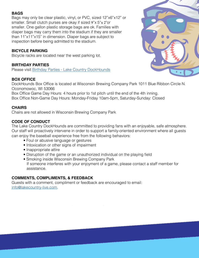# **BAGS**

Bags may only be clear plastic, vinyl, or PVC, sized 12"x6"x12" or smaller. Small clutch purses are okay if sized 9"x 5"x 2"or smaller. One gallon plastic storage bags are ok. Families with diaper bags may carry them into the stadium if they are smaller than 11"x11"x15" in dimension. Diaper bags are subject to inspection before being admitted to the stadium.

# **BICYCLE PARKING**

Bicycle racks are located near the west parking lot.

#### **BIRTHDAY PARTIES**

Please visit [Birthday Parties - Lake Country DockHounds](https://www.dockhounds.com/birthdays/)

# **BOX OFFICE**

DockHounds Box Office is located at Wisconsin Brewing Company Park 1011 Blue Ribbon Circle N. Oconomowoc, WI 53066

Box Office Game Day Hours: 4 hours prior to 1st pitch until the end of the 4th inning.

Box Office Non-Game Day Hours: Monday-Friday 10am-5pm, Saturday-Sunday: Closed

# **CHAIRS**

Chairs are not allowed in Wisconsin Brewing Company Park

# **CODE OF CONDUCT**

The Lake Country DockHounds are committed to providing fans with an enjoyable, safe atmosphere. Our staff will proactively intervene in order to support a family-oriented environment where all guests can enjoy the baseball experience free from the following behaviors:

- Foul or abusive language or gestures
- Intoxication or other signs of impairment
- Inappropriate attire
- Disruption of the game or an unauthorized individual on the playing field
- Smoking inside Wisconsin Brewing Company Park If someone interferes with your enjoyment of a game, please contact a staff member for assistance.

# **COMMENTS, COMPLIMENTS, & FEEDBACK**

Guests with a comment, compliment or feedback are encouraged to email: [info@lakecountry-live.com.](mailto:info%40lakecountry-live.com?subject=)

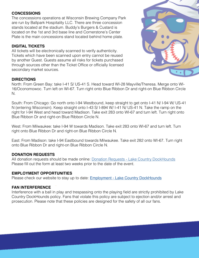#### **CONCESSIONS**

The concessions operations at Wisconsin Brewing Company Park are run by Ballpark Hospitality LLC. There are three concession stands located at the stadium. Buddy's Burgers & Custard is located on the 1st and 3rd base line and Cornerstone's Center Plate is the main concessions stand located behind home plate.

#### **DIGITAL TICKETS**

All tickets will be electronically scanned to verify authenticity. Tickets which have been scanned upon entry cannot be reused by another Guest. Guests assume all risks for tickets purchased through sources other than the Ticket Office or officially licensed secondary market sources.



#### **DIRECTIONS**

North: From Green Bay: take I-41 S/ US-41 S. Head toward WI-28 Mayville/Theresa. Merge onto WI-16/Oconomowoc. Turn left on WI-67. Turn right onto Blue Ribbon Dr and right-on Blue Ribbon Circle N.

South: From Chicago: Go north onto I-94 Westbound, keep straight to get onto I-41 N/ I-94 W/ US-41 N (entering Wisconsin). Keep straight onto I-43 S/ I-894 W/ I-41 N/ US-41 N. Take the ramp on the right for I-94 West and head toward Madison. Take exit 283 onto WI-67 and turn left. Turn right onto Blue Ribbon Dr and right-on Blue Ribbon Circle N.

West: From Milwaukee: take I-94 W towards Madison. Take exit 283 onto WI-67 and turn left. Turn right onto Blue Ribbon Dr and right-on Blue Ribbon Circle N.

East: From Madison: take I-94 Eastbound towards Milwaukee. Take exit 282 onto WI-67. Turn right onto Blue Ribbon Dr and right-on Blue Ribbon Circle N.

#### **DONATION REQUESTS**

All donation requests should be made online: [Donation Requests - Lake Country DockHounds](https://www.dockhounds.com/donation-requests/) Please fill out the form at least two weeks prior to the date of the event.

#### **EMPLOYMENT OPPORTUNITIES**

Please check our website to stay up to date: **[Employment - Lake Country DockHounds](https://www.dockhounds.com/employment/)** 

#### **[FAN INTERFERENCE](http://FAN INTERFERENCE)**

[Interference with a ball in play and trespassing onto the playing field are strictly prohibited by Lake](http://Interference with a ball in play and trespassing onto the playing field are strictly prohibited by L)  [Country DockHounds policy. Fans that violate this policy are subject to ejection and/or arrest and](http://Interference with a ball in play and trespassing onto the playing field are strictly prohibited by L)  [prosecution. Please note that these policies are designed for the safety of all our fans.](http://Interference with a ball in play and trespassing onto the playing field are strictly prohibited by L)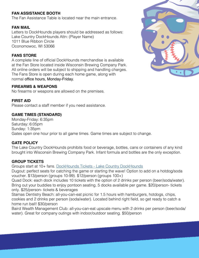# **FAN ASSISTANCE BOOTH**

The Fan Assistance Table is located near the main entrance.

#### **FAN MAIL**

Letters to DockHounds players should be addressed as follows: Lake Country DockHounds Attn: (Player Name) 1011 Blue Ribbon Circle Oconomowoc, WI 53066

#### **FANS STORE**

A complete line of official DockHounds merchandise is available at the Fan Store located inside Wisconsin Brewing Company Park. All online orders will be subject to shipping and handling charges. The Fans Store is open during each home game, along with normal office hours, Monday-Friday.

#### **FIREARMS & WEAPONS**

No firearms or weapons are allowed on the premises.

#### **FIRST AID**

Please contact a staff member if you need assistance.

#### **GAME TIMES (STANDARD)**

Monday-Friday: 6:35pm Saturday: 6:05pm Sunday: 1:35pm Gates open one hour prior to all game times. Game times are subject to change.

#### **GATE POLICY**

The Lake Country DockHounds prohibits food or beverage, bottles, cans or containers of any kind brought into Wisconsin Brewing Company Park. Infant formula and bottles are the only exception.

#### **GROUP TICKETS**

Groups start at 10+ fans. [DockHounds Tickets - Lake Country DockHounds](https://www.dockhounds.com/tickets/#GroupTix)

Dugout: perfect seats for catching the game or starting the wave! Option to add on a hotdog/soda voucher. \$13/person (groups 10-99). \$12/person (groups 100+)

Quad Dock: each dock includes 10 tickets with the option of 2 drinks per person (beer/soda/water). Bring out your buddies to enjoy pontoon seating. 5 docks available per game. \$20/person- tickets only. \$25/person- tickets & beverages

Stamas Dentistry Beach: all-you-can-eat picnic for 1.5 hours with hamburgers, hotdogs, chips, cookies and 2 drinks per person (soda/water). Located behind right field, so get ready to catch a home run ball! \$30/person

Baird Wealth Management Club: all-you-can-eat upscale menu with 2 drinks per person (beer/soda/ water). Great for company outings with indoor/outdoor seating. \$50/person

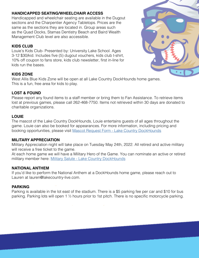# **HANDICAPPED SEATING/WHEELCHAIR ACCESS**

Handicapped and wheelchair seating are available in the Dugout sections and the Charpentier Agency Tabletops. Prices are the same as the sections they are located in. Group areas such as the Quad Docks, Stamas Dentistry Beach and Baird Wealth Management Club level are also accessible.

# **KIDS CLUB**

Louie's Kids Club- Presented by: University Lake School. Ages 3-12 \$30/kid. Includes five (5) dugout vouchers, kids club t-shirt, 10% off coupon to fans store, kids club newsletter, first in-line for kids run the bases.

# **KIDS ZONE**

West Allis Blue Kids Zone will be open at all Lake Country DockHounds home games. This is a fun, free area for kids to play.

#### **LOST & FOUND**

Please report any found items to a staff member or bring them to Fan Assistance. To retrieve items lost at previous games, please call 262-468-7750. Items not retrieved within 30 days are donated to charitable organizations.

#### **LOUIE**

The mascot of the Lake Country DockHounds, Louie entertains guests of all ages throughout the game. Louie can also be booked for appearances. For more information, including pricing and booking opportunities, please visit [Mascot Request Form - Lake Country DockHounds](https://www.dockhounds.com/mascot-request-form/)

#### **MILITARY APPRECIATION**

Military Appreciation night will take place on Tuesday May 24th, 2022. All retired and active military will receive a free ticket to the game.

At each home game we will have a Military Hero of the Game. You can nominate an active or retired military member here: [Military Salute - Lake Country DockHounds](http://)

#### **NATIONAL ANTHEM**

If you'd like to perform the National Anthem at a DockHounds home game, please reach out to Lauren at lauren@lakecountry-live.com.

#### **PARKING**

Parking is available in the lot east of the stadium. There is a \$5 parking fee per car and \$10 for bus parking. Parking lots will open 1 ½ hours prior to 1st pitch. There is no specific motorcycle parking.

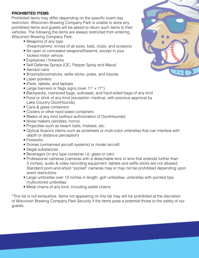#### **PROHIBITED ITEMS**

Prohibited items may differ depending on the specific event day restriction. Wisconsin Brewing Company Park is unable to store any prohibited items and guests will be asked to return such items to their vehicles. The following the items are always restricted from entering Wisconsin Brewing Company Park:

- Weapons of any type (firearm/ammo, knives of all sizes, bats, clubs, and scissors)
- No open or concealed weapons/firearms, except in your locked motor vehicle
- Explosives / fireworks
- Self-Defense Sprays (OC, Pepper Spray and Mace)
- Aerosol cans
- Brooms/broomsticks, selfie sticks, poles, and tripods
- Laser pointers
- iPads, tablets, and laptops
- Large banners or flags signs (over 11" x 17")
- Backpacks, oversized bags, suitcases, and hard-sided bags of any kind
- Food or drink of any kind (exception: medical, with previous approval by Lake Country DockHounds)
- Cans & glass containers
- Coolers or other hard sided containers
- Masks of any kind (without authorization of DockHounds)
- Noise makers (whistles, horns)
- Projectiles such as beach balls, frisbees, etc.
- Optical illusions (items such as pinwheels or multi-color umbrellas that can interfere with depth or distance perception)
- Fireworks
- Drones (unmanned aircraft systems) or model aircraft
- Illegal substances
- Beverages (in any type container i.e. glass or can)
- Professional cameras (cameras with a detachable lens or lens that extends further than 3 inches), audio & video recording equipment, tablets and selfie sticks are not allowed. Standard point-and-shoot "pocket" cameras may or may not be prohibited depending upon event restrictions.
- Large umbrellas over 12 inches in length; golf umbrellas; umbrellas with pointed tips; multicolored umbrellas
- Metal chains of any kind, including wallet chains

\*This list is not exhaustive. Items not appearing on this list may still be prohibited at the discretion of Wisconsin Brewing Company Park Security if the items pose a potential threat to the safety of our guests.

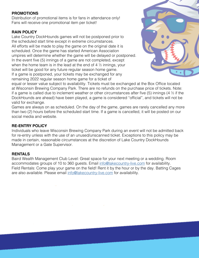#### **PROMOTIONS**

Distribution of promotional items is for fans in attendance only! Fans will receive one promotional item per ticket!

#### **RAIN POLICY**

Lake Country DockHounds games will not be postponed prior to the scheduled start time except in extreme circumstances. All efforts will be made to play the game on the original date it is scheduled. Once the game has started American Association umpires will determine whether the game will be delayed or postponed. In the event five (5) innings of a game are not completed, except when the home team is in the lead at the end of  $4\frac{1}{2}$  innings, your ticket will be good for any future regular season home game. If a game is postponed, your tickets may be exchanged for any remaining 2022 regular season home game for a ticket of



equal or lesser value subject to availability. Tickets must be exchanged at the Box Office located at Wisconsin Brewing Company Park. There are no refunds on the purchase price of tickets. Note: if a game is called due to inclement weather or other circumstances after five (5) innings (4  $\frac{1}{2}$  if the DockHounds are ahead) have been played, a game is considered "official", and tickets will not be valid for exchange.

Games are always on as scheduled. On the day of the game, games are rarely cancelled any more than two (2) hours before the scheduled start time. If a game is cancelled, it will be posted on our social media and website.

# **RE-ENTRY POLICY**

Individuals who leave Wisconsin Brewing Company Park during an event will not be admitted back for re-entry unless with the use of an unused/unscanned ticket. Exceptions to this policy may be made in certain, reasonable circumstances at the discretion of Lake Country DockHounds Management or a Gate Supervisor.

# **RENTALS**

Baird Wealth Management Club Level: Great space for your next meeting or a wedding. Room accommodates groups of 10 to 360 guests. Email [info@lakecountry-live.com](mailto:info%40lakecountry-live.com?subject=) for availability. Field Rentals: Come play your game on the field! Rent it by the hour or by the day. Batting Cages are also available. Please email [info@lakecountry-live.com](mailto:info%40lakecountry-live.com?subject=) for availability.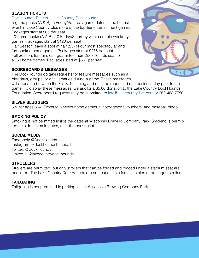#### **SEASON TICKETS**

[DockHounds Tickets - Lake Country DockHounds](https://www.dockhounds.com/tickets/#Packages)

5-game packs (A & B): 5 Friday/Saturday game dates to the hottest event in Lake Country plus more of the top-tier entertainment games. Packages start at \$65 per seat.

10-game packs (A & B): 10 Friday/Saturday with a couple weekday games. Packages start at \$120 per seat

Half Season: save a spot at half (25) of our most spectacular and fun-packed home games. Packages start at \$275 per seat. Full Season: top fans can guarantee their DockHounds seat for all 50 home games. Packages start at \$550 per seat.

# **SCOREBOARD & MESSAGES**

The DockHounds do take requests for feature messages such as a birthdays, groups, or anniversaries during a game. These messages

will appear in between the 3rd & 4th inning and must be requested one business day prior to the game. To display these messages, we ask for a \$5.00 donation to the Lake Country DockHounds Foundation. Scoreboard requests may be submitted to [info@lakecountry-live.com](mailto:info%40lakecountry-live.com?subject=) or 262-468-7750.

#### **SILVER SLUGGERS**

\$30 for ages 55+. Ticket to 5 select home games, 5 hotdog/soda vouchers, and baseball bingo.

#### **SMOKING POLICY**

Smoking is not permitted inside the gates at Wisconsin Brewing Company Park. Smoking is permitted outside the main gates, near the parking lot.

#### **SOCIAL MEDIA**

Facebook: @DockHounds Instagram: @dockhoundsbaseball Twitter: @DockHounds LinkedIn: @lakecountrydockhounds

# **STROLLERS**

Strollers are permitted, but only strollers that can be folded and placed under a stadium seat are permitted. The Lake Country DockHounds are not responsible for lost, stolen or damaged strollers.

# **TAILGATING**

Tailgating is not permitted in parking lots at Wisconsin Brewing Company Park.